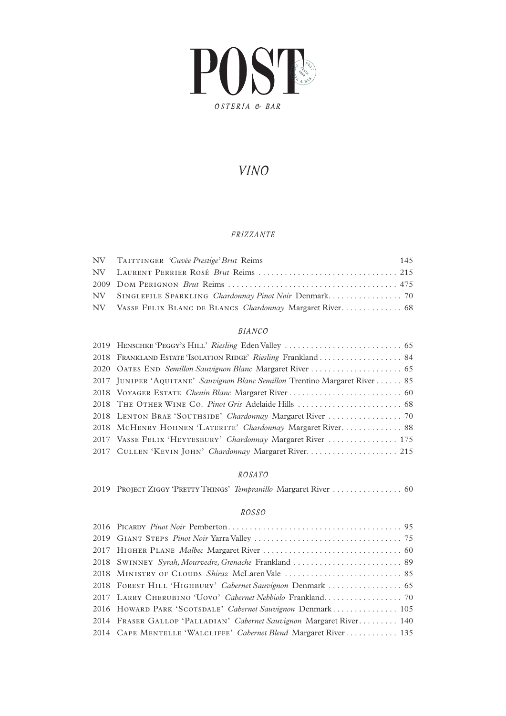

## *VINO*

#### *FRIZZANTE*

| NV TAITTINGER 'Cuvée Prestige' Brut Reims | 145 |
|-------------------------------------------|-----|
|                                           |     |
|                                           |     |
|                                           |     |
|                                           |     |

### *BIANCO*

| 2018 FRANKLAND ESTATE 'ISOLATION RIDGE' Riesling Frankland  84              |
|-----------------------------------------------------------------------------|
|                                                                             |
| 2017 JUNIPER 'AQUITANE' Sauvignon Blanc Semillon Trentino Margaret River 85 |
|                                                                             |
|                                                                             |
|                                                                             |
| 2018 MCHENRY HOHNEN 'LATERITE' Chardonnay Margaret River 88                 |
| 2017 VASSE FELIX 'HEYTESBURY' Chardonnay Margaret River  175                |
| 2017 CULLEN 'KEVIN JOHN' Chardonnay Margaret River 215                      |
|                                                                             |

#### *ROSATO*

|  |  | 2019 PROJECT ZIGGY 'PRETTY THINGS' Tempranillo Margaret River  60 |  |
|--|--|-------------------------------------------------------------------|--|
|  |  |                                                                   |  |

#### *ROSSO*

| 2016 HOWARD PARK 'SCOTSDALE' Cabernet Sauvignon Denmark 105          |
|----------------------------------------------------------------------|
| 2014 FRASER GALLOP 'PALLADIAN' Cabernet Sauvignon Margaret River 140 |
| 2014 CAPE MENTELLE 'WALCLIFFE' Cabernet Blend Margaret River 135     |